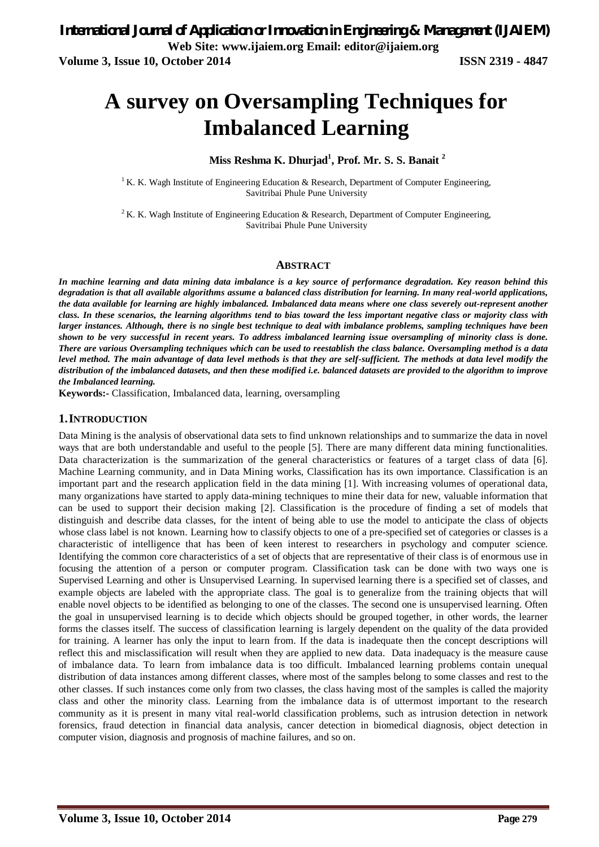# **A survey on Oversampling Techniques for Imbalanced Learning**

## **Miss Reshma K. Dhurjad<sup>1</sup> , Prof. Mr. S. S. Banait <sup>2</sup>**

<sup>1</sup> K. K. Wagh Institute of Engineering Education & Research, Department of Computer Engineering, Savitribai Phule Pune University

<sup>2</sup> K. K. Wagh Institute of Engineering Education & Research, Department of Computer Engineering, Savitribai Phule Pune University

#### **ABSTRACT**

*In machine learning and data mining data imbalance is a key source of performance degradation. Key reason behind this degradation is that all available algorithms assume a balanced class distribution for learning. In many real-world applications, the data available for learning are highly imbalanced. Imbalanced data means where one class severely out-represent another class. In these scenarios, the learning algorithms tend to bias toward the less important negative class or majority class with larger instances. Although, there is no single best technique to deal with imbalance problems, sampling techniques have been shown to be very successful in recent years. To address imbalanced learning issue oversampling of minority class is done. There are various Oversampling techniques which can be used to reestablish the class balance. Oversampling method is a data level method. The main advantage of data level methods is that they are self-sufficient. The methods at data level modify the distribution of the imbalanced datasets, and then these modified i.e. balanced datasets are provided to the algorithm to improve the Imbalanced learning.*

**Keywords:-** Classification, Imbalanced data, learning, oversampling

#### **1.INTRODUCTION**

Data Mining is the analysis of observational data sets to find unknown relationships and to summarize the data in novel ways that are both understandable and useful to the people [5]. There are many different data mining functionalities. Data characterization is the summarization of the general characteristics or features of a target class of data [6]. Machine Learning community, and in Data Mining works, Classification has its own importance. Classification is an important part and the research application field in the data mining [1]. With increasing volumes of operational data, many organizations have started to apply data-mining techniques to mine their data for new, valuable information that can be used to support their decision making [2]. Classification is the procedure of finding a set of models that distinguish and describe data classes, for the intent of being able to use the model to anticipate the class of objects whose class label is not known. Learning how to classify objects to one of a pre-specified set of categories or classes is a characteristic of intelligence that has been of keen interest to researchers in psychology and computer science. Identifying the common core characteristics of a set of objects that are representative of their class is of enormous use in focusing the attention of a person or computer program. Classification task can be done with two ways one is Supervised Learning and other is Unsupervised Learning. In supervised learning there is a specified set of classes, and example objects are labeled with the appropriate class. The goal is to generalize from the training objects that will enable novel objects to be identified as belonging to one of the classes. The second one is unsupervised learning. Often the goal in unsupervised learning is to decide which objects should be grouped together, in other words, the learner forms the classes itself. The success of classification learning is largely dependent on the quality of the data provided for training. A learner has only the input to learn from. If the data is inadequate then the concept descriptions will reflect this and misclassification will result when they are applied to new data. Data inadequacy is the measure cause of imbalance data. To learn from imbalance data is too difficult. Imbalanced learning problems contain unequal distribution of data instances among different classes, where most of the samples belong to some classes and rest to the other classes. If such instances come only from two classes, the class having most of the samples is called the majority class and other the minority class. Learning from the imbalance data is of uttermost important to the research community as it is present in many vital real-world classification problems, such as intrusion detection in network forensics, fraud detection in financial data analysis, cancer detection in biomedical diagnosis, object detection in computer vision, diagnosis and prognosis of machine failures, and so on.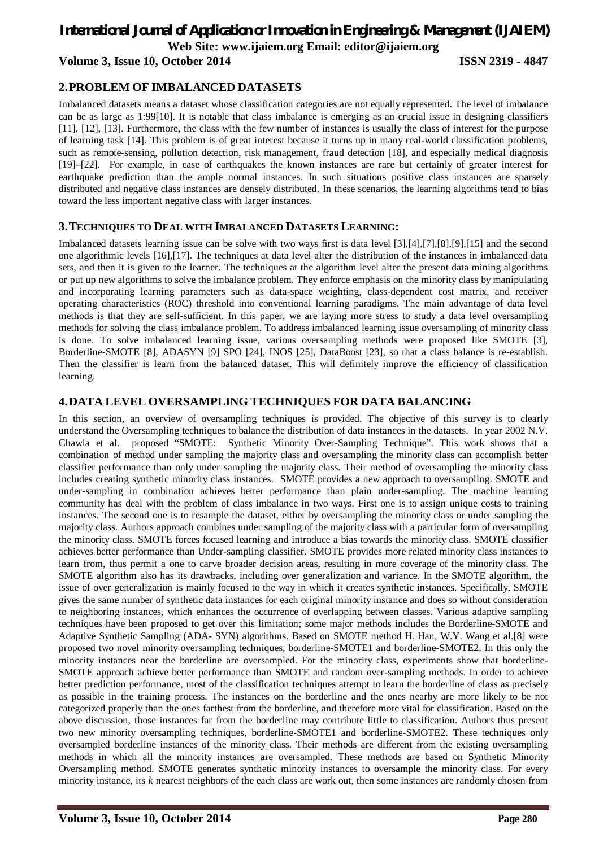# *International Journal of Application or Innovation in Engineering & Management (IJAIEM)*

**Web Site: www.ijaiem.org Email: editor@ijaiem.org**

**Volume 3, Issue 10, October 2014 ISSN 2319 - 4847**

# **2.PROBLEM OF IMBALANCED DATASETS**

Imbalanced datasets means a dataset whose classification categories are not equally represented. The level of imbalance can be as large as 1:99[10]. It is notable that class imbalance is emerging as an crucial issue in designing classifiers [11], [12], [13]. Furthermore, the class with the few number of instances is usually the class of interest for the purpose of learning task [14]. This problem is of great interest because it turns up in many real-world classification problems, such as remote-sensing, pollution detection, risk management, fraud detection [18], and especially medical diagnosis [19]–[22]. For example, in case of earthquakes the known instances are rare but certainly of greater interest for earthquake prediction than the ample normal instances. In such situations positive class instances are sparsely distributed and negative class instances are densely distributed. In these scenarios, the learning algorithms tend to bias toward the less important negative class with larger instances.

## **3.TECHNIQUES TO DEAL WITH IMBALANCED DATASETS LEARNING:**

Imbalanced datasets learning issue can be solve with two ways first is data level [3],[4],[7],[8],[9],[15] and the second one algorithmic levels [16],[17]. The techniques at data level alter the distribution of the instances in imbalanced data sets, and then it is given to the learner. The techniques at the algorithm level alter the present data mining algorithms or put up new algorithms to solve the imbalance problem. They enforce emphasis on the minority class by manipulating and incorporating learning parameters such as data-space weighting, class-dependent cost matrix, and receiver operating characteristics (ROC) threshold into conventional learning paradigms. The main advantage of data level methods is that they are self-sufficient. In this paper, we are laying more stress to study a data level oversampling methods for solving the class imbalance problem. To address imbalanced learning issue oversampling of minority class is done. To solve imbalanced learning issue, various oversampling methods were proposed like SMOTE [3], Borderline-SMOTE [8], ADASYN [9] SPO [24], INOS [25], DataBoost [23], so that a class balance is re-establish. Then the classifier is learn from the balanced dataset. This will definitely improve the efficiency of classification learning.

# **4.DATA LEVEL OVERSAMPLING TECHNIQUES FOR DATA BALANCING**

In this section, an overview of oversampling techniques is provided. The objective of this survey is to clearly understand the Oversampling techniques to balance the distribution of data instances in the datasets. In year 2002 N.V. Chawla et al. proposed "SMOTE: Synthetic Minority Over-Sampling Technique". This work shows that a combination of method under sampling the majority class and oversampling the minority class can accomplish better classifier performance than only under sampling the majority class. Their method of oversampling the minority class includes creating synthetic minority class instances. SMOTE provides a new approach to oversampling. SMOTE and under-sampling in combination achieves better performance than plain under-sampling. The machine learning community has deal with the problem of class imbalance in two ways. First one is to assign unique costs to training instances. The second one is to resample the dataset, either by oversampling the minority class or under sampling the majority class. Authors approach combines under sampling of the majority class with a particular form of oversampling the minority class. SMOTE forces focused learning and introduce a bias towards the minority class. SMOTE classifier achieves better performance than Under-sampling classifier. SMOTE provides more related minority class instances to learn from, thus permit a one to carve broader decision areas, resulting in more coverage of the minority class. The SMOTE algorithm also has its drawbacks, including over generalization and variance. In the SMOTE algorithm, the issue of over generalization is mainly focused to the way in which it creates synthetic instances. Specifically, SMOTE gives the same number of synthetic data instances for each original minority instance and does so without consideration to neighboring instances, which enhances the occurrence of overlapping between classes. Various adaptive sampling techniques have been proposed to get over this limitation; some major methods includes the Borderline-SMOTE and Adaptive Synthetic Sampling (ADA- SYN) algorithms. Based on SMOTE method H. Han, W.Y. Wang et al.[8] were proposed two novel minority oversampling techniques, borderline-SMOTE1 and borderline-SMOTE2. In this only the minority instances near the borderline are oversampled. For the minority class, experiments show that borderline-SMOTE approach achieve better performance than SMOTE and random over-sampling methods. In order to achieve better prediction performance, most of the classification techniques attempt to learn the borderline of class as precisely as possible in the training process. The instances on the borderline and the ones nearby are more likely to be not categorized properly than the ones farthest from the borderline, and therefore more vital for classification. Based on the above discussion, those instances far from the borderline may contribute little to classification. Authors thus present two new minority oversampling techniques, borderline-SMOTE1 and borderline-SMOTE2. These techniques only oversampled borderline instances of the minority class. Their methods are different from the existing oversampling methods in which all the minority instances are oversampled. These methods are based on Synthetic Minority Oversampling method. SMOTE generates synthetic minority instances to oversample the minority class. For every minority instance, its *k* nearest neighbors of the each class are work out, then some instances are randomly chosen from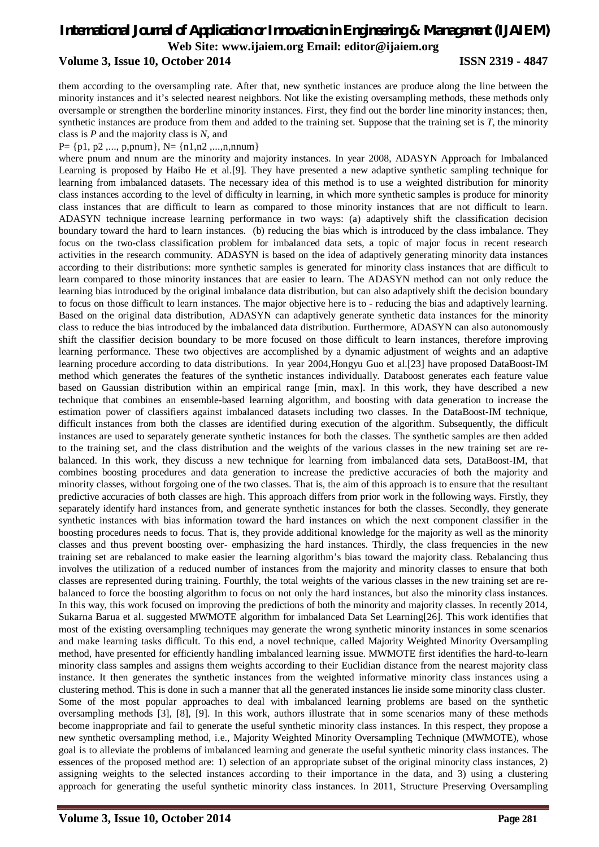# *International Journal of Application or Innovation in Engineering & Management (IJAIEM)* **Web Site: www.ijaiem.org Email: editor@ijaiem.org Volume 3, Issue 10, October 2014 ISSN 2319 - 4847**

them according to the oversampling rate. After that, new synthetic instances are produce along the line between the minority instances and it's selected nearest neighbors. Not like the existing oversampling methods, these methods only oversample or strengthen the borderline minority instances. First, they find out the border line minority instances; then, synthetic instances are produce from them and added to the training set. Suppose that the training set is *T*, the minority class is *P* and the majority class is *N*, and

#### $P = \{p1, p2, ..., p, pnum\}, N = \{n1, n2, ..., n, nnum\}$

where pnum and nnum are the minority and majority instances. In year 2008, ADASYN Approach for Imbalanced Learning is proposed by Haibo He et al.[9]. They have presented a new adaptive synthetic sampling technique for learning from imbalanced datasets. The necessary idea of this method is to use a weighted distribution for minority class instances according to the level of difficulty in learning, in which more synthetic samples is produce for minority class instances that are difficult to learn as compared to those minority instances that are not difficult to learn. ADASYN technique increase learning performance in two ways: (a) adaptively shift the classification decision boundary toward the hard to learn instances. (b) reducing the bias which is introduced by the class imbalance. They focus on the two-class classification problem for imbalanced data sets, a topic of major focus in recent research activities in the research community. ADASYN is based on the idea of adaptively generating minority data instances according to their distributions: more synthetic samples is generated for minority class instances that are difficult to learn compared to those minority instances that are easier to learn. The ADASYN method can not only reduce the learning bias introduced by the original imbalance data distribution, but can also adaptively shift the decision boundary to focus on those difficult to learn instances. The major objective here is to - reducing the bias and adaptively learning. Based on the original data distribution, ADASYN can adaptively generate synthetic data instances for the minority class to reduce the bias introduced by the imbalanced data distribution. Furthermore, ADASYN can also autonomously shift the classifier decision boundary to be more focused on those difficult to learn instances, therefore improving learning performance. These two objectives are accomplished by a dynamic adjustment of weights and an adaptive learning procedure according to data distributions. In year 2004,Hongyu Guo et al.[23] have proposed DataBoost-IM method which generates the features of the synthetic instances individually. Databoost generates each feature value based on Gaussian distribution within an empirical range [min, max]. In this work, they have described a new technique that combines an ensemble-based learning algorithm, and boosting with data generation to increase the estimation power of classifiers against imbalanced datasets including two classes. In the DataBoost-IM technique, difficult instances from both the classes are identified during execution of the algorithm. Subsequently, the difficult instances are used to separately generate synthetic instances for both the classes. The synthetic samples are then added to the training set, and the class distribution and the weights of the various classes in the new training set are rebalanced. In this work, they discuss a new technique for learning from imbalanced data sets, DataBoost-IM, that combines boosting procedures and data generation to increase the predictive accuracies of both the majority and minority classes, without forgoing one of the two classes. That is, the aim of this approach is to ensure that the resultant predictive accuracies of both classes are high. This approach differs from prior work in the following ways. Firstly, they separately identify hard instances from, and generate synthetic instances for both the classes. Secondly, they generate synthetic instances with bias information toward the hard instances on which the next component classifier in the boosting procedures needs to focus. That is, they provide additional knowledge for the majority as well as the minority classes and thus prevent boosting over- emphasizing the hard instances. Thirdly, the class frequencies in the new training set are rebalanced to make easier the learning algorithm's bias toward the majority class. Rebalancing thus involves the utilization of a reduced number of instances from the majority and minority classes to ensure that both classes are represented during training. Fourthly, the total weights of the various classes in the new training set are rebalanced to force the boosting algorithm to focus on not only the hard instances, but also the minority class instances. In this way, this work focused on improving the predictions of both the minority and majority classes. In recently 2014, Sukarna Barua et al. suggested MWMOTE algorithm for imbalanced Data Set Learning[26]. This work identifies that most of the existing oversampling techniques may generate the wrong synthetic minority instances in some scenarios and make learning tasks difficult. To this end, a novel technique, called Majority Weighted Minority Oversampling method, have presented for efficiently handling imbalanced learning issue. MWMOTE first identifies the hard-to-learn minority class samples and assigns them weights according to their Euclidian distance from the nearest majority class instance. It then generates the synthetic instances from the weighted informative minority class instances using a clustering method. This is done in such a manner that all the generated instances lie inside some minority class cluster. Some of the most popular approaches to deal with imbalanced learning problems are based on the synthetic oversampling methods [3], [8], [9]. In this work, authors illustrate that in some scenarios many of these methods become inappropriate and fail to generate the useful synthetic minority class instances. In this respect, they propose a new synthetic oversampling method, i.e., Majority Weighted Minority Oversampling Technique (MWMOTE), whose goal is to alleviate the problems of imbalanced learning and generate the useful synthetic minority class instances. The essences of the proposed method are: 1) selection of an appropriate subset of the original minority class instances, 2) assigning weights to the selected instances according to their importance in the data, and 3) using a clustering approach for generating the useful synthetic minority class instances. In 2011, Structure Preserving Oversampling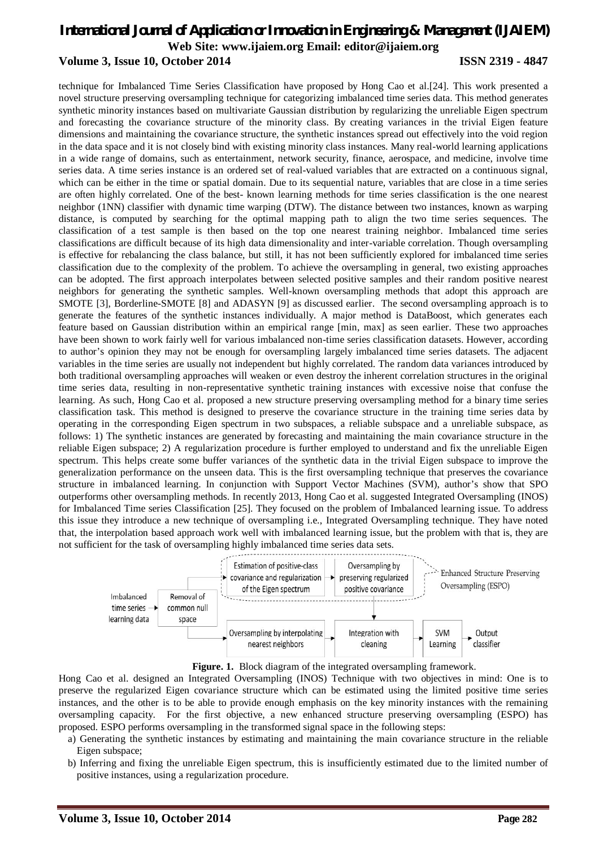# *International Journal of Application or Innovation in Engineering & Management (IJAIEM)* **Web Site: www.ijaiem.org Email: editor@ijaiem.org Volume 3, Issue 10, October 2014 ISSN 2319 - 4847**

technique for Imbalanced Time Series Classification have proposed by Hong Cao et al.[24]. This work presented a novel structure preserving oversampling technique for categorizing imbalanced time series data. This method generates synthetic minority instances based on multivariate Gaussian distribution by regularizing the unreliable Eigen spectrum and forecasting the covariance structure of the minority class. By creating variances in the trivial Eigen feature dimensions and maintaining the covariance structure, the synthetic instances spread out effectively into the void region in the data space and it is not closely bind with existing minority class instances. Many real-world learning applications in a wide range of domains, such as entertainment, network security, finance, aerospace, and medicine, involve time series data. A time series instance is an ordered set of real-valued variables that are extracted on a continuous signal, which can be either in the time or spatial domain. Due to its sequential nature, variables that are close in a time series are often highly correlated. One of the best- known learning methods for time series classification is the one nearest neighbor (1NN) classifier with dynamic time warping (DTW). The distance between two instances, known as warping distance, is computed by searching for the optimal mapping path to align the two time series sequences. The classification of a test sample is then based on the top one nearest training neighbor. Imbalanced time series classifications are difficult because of its high data dimensionality and inter-variable correlation. Though oversampling is effective for rebalancing the class balance, but still, it has not been sufficiently explored for imbalanced time series classification due to the complexity of the problem. To achieve the oversampling in general, two existing approaches can be adopted. The first approach interpolates between selected positive samples and their random positive nearest neighbors for generating the synthetic samples. Well-known oversampling methods that adopt this approach are SMOTE [3], Borderline-SMOTE [8] and ADASYN [9] as discussed earlier. The second oversampling approach is to generate the features of the synthetic instances individually. A major method is DataBoost, which generates each feature based on Gaussian distribution within an empirical range [min, max] as seen earlier. These two approaches have been shown to work fairly well for various imbalanced non-time series classification datasets. However, according to author's opinion they may not be enough for oversampling largely imbalanced time series datasets. The adjacent variables in the time series are usually not independent but highly correlated. The random data variances introduced by both traditional oversampling approaches will weaken or even destroy the inherent correlation structures in the original time series data, resulting in non-representative synthetic training instances with excessive noise that confuse the learning. As such, Hong Cao et al. proposed a new structure preserving oversampling method for a binary time series classification task. This method is designed to preserve the covariance structure in the training time series data by operating in the corresponding Eigen spectrum in two subspaces, a reliable subspace and a unreliable subspace, as follows: 1) The synthetic instances are generated by forecasting and maintaining the main covariance structure in the reliable Eigen subspace; 2) A regularization procedure is further employed to understand and fix the unreliable Eigen spectrum. This helps create some buffer variances of the synthetic data in the trivial Eigen subspace to improve the generalization performance on the unseen data. This is the first oversampling technique that preserves the covariance structure in imbalanced learning. In conjunction with Support Vector Machines (SVM), author's show that SPO outperforms other oversampling methods. In recently 2013, Hong Cao et al. suggested Integrated Oversampling (INOS) for Imbalanced Time series Classification [25]. They focused on the problem of Imbalanced learning issue. To address this issue they introduce a new technique of oversampling i.e., Integrated Oversampling technique. They have noted that, the interpolation based approach work well with imbalanced learning issue, but the problem with that is, they are not sufficient for the task of oversampling highly imbalanced time series data sets.



Figure. 1. Block diagram of the integrated oversampling framework.

Hong Cao et al. designed an Integrated Oversampling (INOS) Technique with two objectives in mind: One is to preserve the regularized Eigen covariance structure which can be estimated using the limited positive time series instances, and the other is to be able to provide enough emphasis on the key minority instances with the remaining oversampling capacity. For the first objective, a new enhanced structure preserving oversampling (ESPO) has proposed. ESPO performs oversampling in the transformed signal space in the following steps:

- a) Generating the synthetic instances by estimating and maintaining the main covariance structure in the reliable Eigen subspace;
- b) Inferring and fixing the unreliable Eigen spectrum, this is insufficiently estimated due to the limited number of positive instances, using a regularization procedure.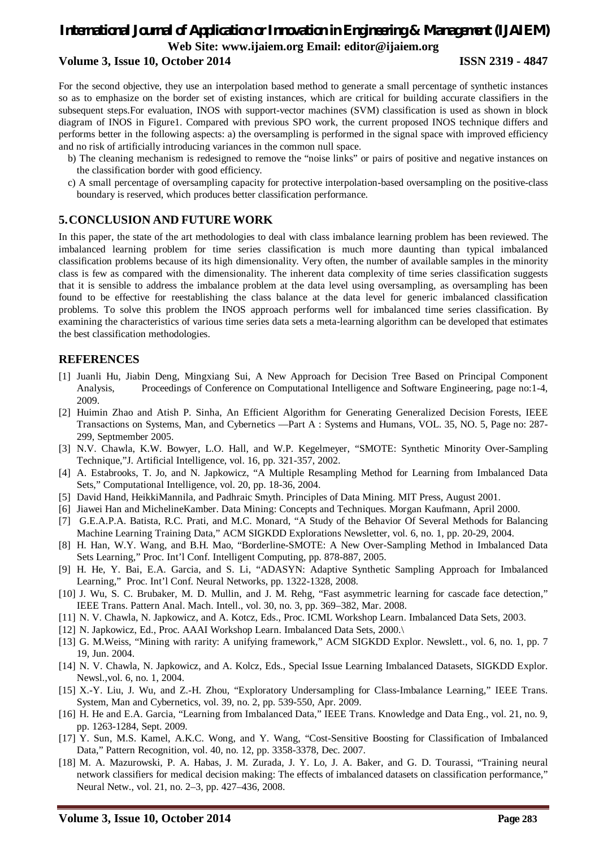# *International Journal of Application or Innovation in Engineering & Management (IJAIEM)* **Web Site: www.ijaiem.org Email: editor@ijaiem.org Volume 3, Issue 10, October 2014 ISSN 2319 - 4847**

For the second objective, they use an interpolation based method to generate a small percentage of synthetic instances so as to emphasize on the border set of existing instances, which are critical for building accurate classifiers in the subsequent steps.For evaluation, INOS with support-vector machines (SVM) classification is used as shown in block diagram of INOS in Figure1. Compared with previous SPO work, the current proposed INOS technique differs and performs better in the following aspects: a) the oversampling is performed in the signal space with improved efficiency and no risk of artificially introducing variances in the common null space.

- b) The cleaning mechanism is redesigned to remove the "noise links" or pairs of positive and negative instances on the classification border with good efficiency.
- c) A small percentage of oversampling capacity for protective interpolation-based oversampling on the positive-class boundary is reserved, which produces better classification performance.

# **5.CONCLUSION AND FUTURE WORK**

In this paper, the state of the art methodologies to deal with class imbalance learning problem has been reviewed. The imbalanced learning problem for time series classification is much more daunting than typical imbalanced classification problems because of its high dimensionality. Very often, the number of available samples in the minority class is few as compared with the dimensionality. The inherent data complexity of time series classification suggests that it is sensible to address the imbalance problem at the data level using oversampling, as oversampling has been found to be effective for reestablishing the class balance at the data level for generic imbalanced classification problems. To solve this problem the INOS approach performs well for imbalanced time series classification. By examining the characteristics of various time series data sets a meta-learning algorithm can be developed that estimates the best classification methodologies.

# **REFERENCES**

- [1] Juanli Hu, Jiabin Deng, Mingxiang Sui, A New Approach for Decision Tree Based on Principal Component Analysis, Proceedings of Conference on Computational Intelligence and Software Engineering, page no:1-4, 2009.
- [2] Huimin Zhao and Atish P. Sinha, An Efficient Algorithm for Generating Generalized Decision Forests, IEEE Transactions on Systems, Man, and Cybernetics —Part A : Systems and Humans, VOL. 35, NO. 5, Page no: 287- 299, Septmember 2005.
- [3] N.V. Chawla, K.W. Bowyer, L.O. Hall, and W.P. Kegelmeyer, "SMOTE: Synthetic Minority Over-Sampling Technique,"J. Artificial Intelligence, vol. 16, pp. 321-357, 2002.
- [4] A. Estabrooks, T. Jo, and N. Japkowicz, "A Multiple Resampling Method for Learning from Imbalanced Data Sets," Computational Intelligence, vol. 20, pp. 18-36, 2004.
- [5] David Hand, HeikkiMannila, and Padhraic Smyth. Principles of Data Mining. MIT Press, August 2001.
- [6] Jiawei Han and MichelineKamber. Data Mining: Concepts and Techniques. Morgan Kaufmann, April 2000.
- [7] G.E.A.P.A. Batista, R.C. Prati, and M.C. Monard, "A Study of the Behavior Of Several Methods for Balancing Machine Learning Training Data," ACM SIGKDD Explorations Newsletter, vol. 6, no. 1, pp. 20-29, 2004.
- [8] H. Han, W.Y. Wang, and B.H. Mao, "Borderline-SMOTE: A New Over-Sampling Method in Imbalanced Data Sets Learning," Proc. Int'l Conf. Intelligent Computing, pp. 878-887, 2005.
- [9] H. He, Y. Bai, E.A. Garcia, and S. Li, "ADASYN: Adaptive Synthetic Sampling Approach for Imbalanced Learning," Proc. Int'l Conf. Neural Networks, pp. 1322-1328, 2008.
- [10] J. Wu, S. C. Brubaker, M. D. Mullin, and J. M. Rehg, "Fast asymmetric learning for cascade face detection," IEEE Trans. Pattern Anal. Mach. Intell., vol. 30, no. 3, pp. 369–382, Mar. 2008.
- [11] N. V. Chawla, N. Japkowicz, and A. Kotcz, Eds., Proc. ICML Workshop Learn. Imbalanced Data Sets, 2003.
- [12] N. Japkowicz, Ed., Proc. AAAI Workshop Learn. Imbalanced Data Sets, 2000.\
- [13] G. M.Weiss, "Mining with rarity: A unifying framework," ACM SIGKDD Explor. Newslett., vol. 6, no. 1, pp. 7 19, Jun. 2004.
- [14] N. V. Chawla, N. Japkowicz, and A. Kolcz, Eds., Special Issue Learning Imbalanced Datasets, SIGKDD Explor. Newsl.,vol. 6, no. 1, 2004.
- [15] X.-Y. Liu, J. Wu, and Z.-H. Zhou, "Exploratory Undersampling for Class-Imbalance Learning," IEEE Trans. System, Man and Cybernetics, vol. 39, no. 2, pp. 539-550, Apr. 2009.
- [16] H. He and E.A. Garcia, "Learning from Imbalanced Data," IEEE Trans. Knowledge and Data Eng., vol. 21, no. 9, pp. 1263-1284, Sept. 2009.
- [17] Y. Sun, M.S. Kamel, A.K.C. Wong, and Y. Wang, "Cost-Sensitive Boosting for Classification of Imbalanced Data," Pattern Recognition, vol. 40, no. 12, pp. 3358-3378, Dec. 2007.
- [18] M. A. Mazurowski, P. A. Habas, J. M. Zurada, J. Y. Lo, J. A. Baker, and G. D. Tourassi, "Training neural network classifiers for medical decision making: The effects of imbalanced datasets on classification performance," Neural Netw., vol. 21, no. 2–3, pp. 427–436, 2008.